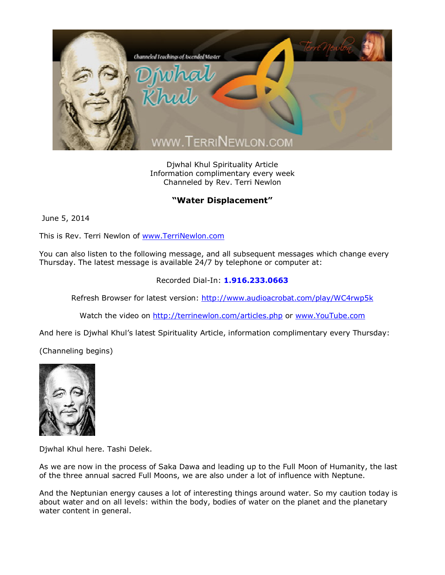

Djwhal Khul Spirituality Article Information complimentary every week Channeled by Rev. Terri Newlon

## **"Water Displacement"**

June 5, 2014

This is Rev. Terri Newlon of [www.TerriNewlon.com](http://www.terrinewlon.com/)

You can also listen to the following message, and all subsequent messages which change every Thursday. The latest message is available 24/7 by telephone or computer at:

## Recorded Dial-In: **1.916.233.0663**

Refresh Browser for latest version: <http://www.audioacrobat.com/play/WC4rwp5k>

Watch the video on <http://terrinewlon.com/articles.php> or [www.YouTube.com](http://www.youtube.com/)

And here is Djwhal Khul's latest Spirituality Article, information complimentary every Thursday:

(Channeling begins)



Djwhal Khul here. Tashi Delek.

As we are now in the process of Saka Dawa and leading up to the Full Moon of Humanity, the last of the three annual sacred Full Moons, we are also under a lot of influence with Neptune.

And the Neptunian energy causes a lot of interesting things around water. So my caution today is about water and on all levels: within the body, bodies of water on the planet and the planetary water content in general.